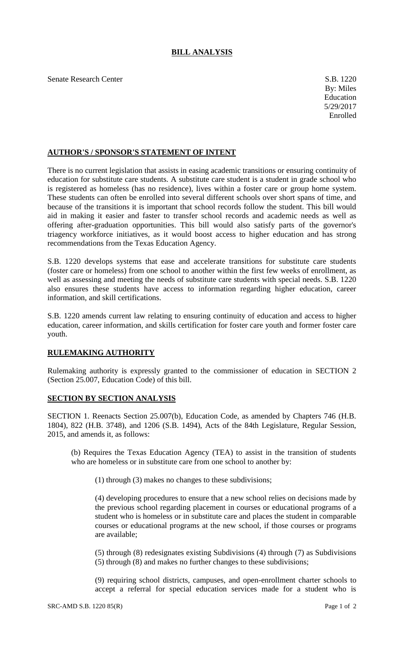## **BILL ANALYSIS**

Senate Research Center S.B. 1220

## **AUTHOR'S / SPONSOR'S STATEMENT OF INTENT**

There is no current legislation that assists in easing academic transitions or ensuring continuity of education for substitute care students. A substitute care student is a student in grade school who is registered as homeless (has no residence), lives within a foster care or group home system. These students can often be enrolled into several different schools over short spans of time, and because of the transitions it is important that school records follow the student. This bill would aid in making it easier and faster to transfer school records and academic needs as well as offering after-graduation opportunities. This bill would also satisfy parts of the governor's triagency workforce initiatives, as it would boost access to higher education and has strong recommendations from the Texas Education Agency.

S.B. 1220 develops systems that ease and accelerate transitions for substitute care students (foster care or homeless) from one school to another within the first few weeks of enrollment, as well as assessing and meeting the needs of substitute care students with special needs. S.B. 1220 also ensures these students have access to information regarding higher education, career information, and skill certifications.

S.B. 1220 amends current law relating to ensuring continuity of education and access to higher education, career information, and skills certification for foster care youth and former foster care youth.

## **RULEMAKING AUTHORITY**

Rulemaking authority is expressly granted to the commissioner of education in SECTION 2 (Section 25.007, Education Code) of this bill.

## **SECTION BY SECTION ANALYSIS**

SECTION 1. Reenacts Section 25.007(b), Education Code, as amended by Chapters 746 (H.B. 1804), 822 (H.B. 3748), and 1206 (S.B. 1494), Acts of the 84th Legislature, Regular Session, 2015, and amends it, as follows:

(b) Requires the Texas Education Agency (TEA) to assist in the transition of students who are homeless or in substitute care from one school to another by:

(1) through (3) makes no changes to these subdivisions;

(4) developing procedures to ensure that a new school relies on decisions made by the previous school regarding placement in courses or educational programs of a student who is homeless or in substitute care and places the student in comparable courses or educational programs at the new school, if those courses or programs are available;

(5) through (8) redesignates existing Subdivisions (4) through (7) as Subdivisions (5) through (8) and makes no further changes to these subdivisions;

(9) requiring school districts, campuses, and open-enrollment charter schools to accept a referral for special education services made for a student who is